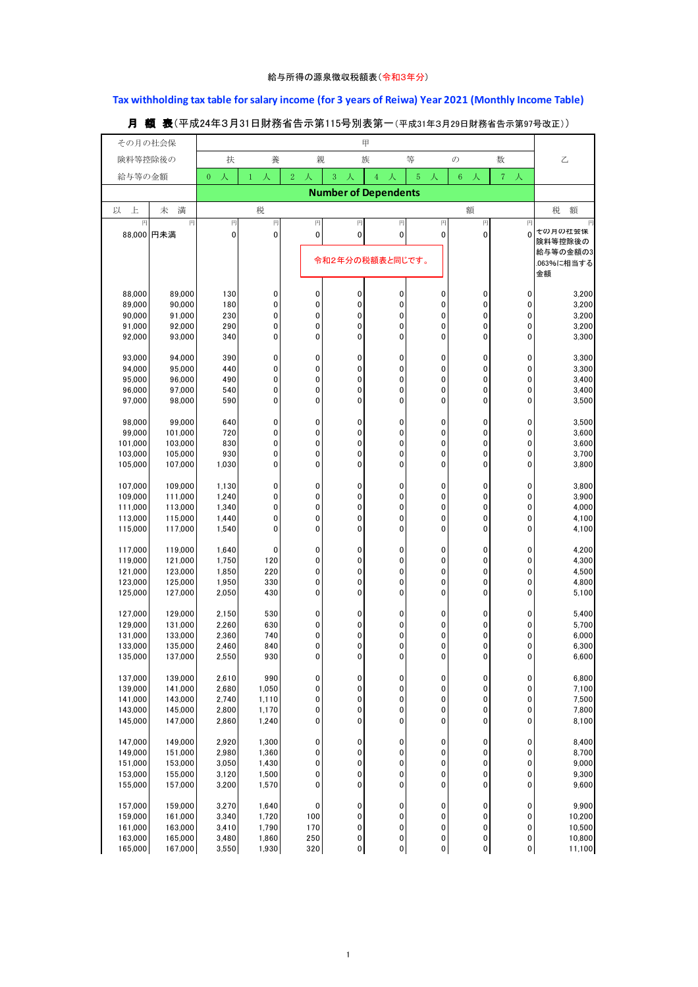## **Tax withholding tax table for salary income (for 3 years of Reiwa) Year 2021 (Monthly Income Table)**

| その月の社会保            |                    |                     |                   |                          |                       | 甲                   |              |               |                       |                    |
|--------------------|--------------------|---------------------|-------------------|--------------------------|-----------------------|---------------------|--------------|---------------|-----------------------|--------------------|
| 険料等控除後の            |                    | 扶                   | 養                 | 親                        |                       | 族                   | 等            | $\mathcal{O}$ | 数                     | 乙                  |
| 給与等の金額             |                    | 人<br>$\overline{0}$ | 人<br>$\mathbf{1}$ | $\sqrt{2}$<br>人          | $\boldsymbol{3}$<br>人 | $\overline{4}$<br>人 | 5<br>人       | $\,6\,$<br>人  | $\boldsymbol{7}$<br>人 |                    |
|                    |                    |                     |                   |                          |                       |                     |              |               |                       |                    |
| 上<br>以             | 満<br>未             |                     | 税                 |                          |                       |                     |              | 額             |                       | 税<br>額             |
| 円                  | 円                  | 円                   | 円                 | 円                        | 円                     | 円                   | 円            | 円             | 円                     |                    |
|                    | 88,000 円未満         | $\mathbf 0$         | $\mathbf{0}$      | $\mathbf 0$              | 0                     | $\mathbf 0$         | 0            | 0             | $\Omega$              | その月の社会保<br>険料等控除後の |
|                    |                    |                     |                   |                          | 令和2年分の税額表と同じです。       |                     |              |               |                       | 給与等の金額の3           |
|                    |                    |                     |                   |                          |                       |                     |              |               |                       | .063%に相当する<br>金額   |
|                    |                    |                     |                   |                          |                       |                     |              |               |                       |                    |
| 88,000<br>89,000   | 89.000<br>90,000   | 130<br>180          | 0<br>0            | 0<br>$\pmb{0}$           | 0<br>0                | 0<br>0              | 0<br>0       | 0<br>0        | 0<br>$\mathbf 0$      | 3,200<br>3,200     |
| 90,000             | 91,000             | 230                 | 0                 | 0                        | 0                     | 0                   | 0            | 0             | 0                     | 3,200              |
| 91,000             | 92,000             | 290                 | 0                 | $\pmb{0}$                | $\mathbf 0$           | 0                   | 0            | 0             | $\mathbf 0$           | 3,200              |
| 92,000             | 93,000             | 340                 | 0                 | $\mathbf 0$              | 0                     | 0                   | 0            | 0             | 0                     | 3,300              |
| 93,000             | 94,000             | 390                 | 0                 | 0                        | 0                     | 0                   | 0            | 0             | 0                     | 3,300              |
| 94,000             | 95,000             | 440                 | $\mathbf{0}$      | $\mathbf 0$              | 0                     | 0                   | 0            | 0             | $\mathbf 0$           | 3,300              |
| 95,000             | 96,000             | 490                 | 0                 | 0                        | 0                     | 0                   | 0            | 0             | 0                     | 3,400              |
| 96,000             | 97,000             | 540                 | 0                 | $\mathbf 0$              | $\mathbf 0$           | 0                   | 0            | 0             | $\mathbf 0$           | 3,400              |
| 97,000             | 98,000             | 590                 | 0                 | 0                        | 0                     | 0                   | 0            | 0             | 0                     | 3,500              |
| 98,000             | 99,000             | 640                 | 0                 | 0                        | 0                     | 0                   | 0            | 0             | 0                     | 3,500              |
| 99,000             | 101,000            | 720                 | 0                 | $\mathbf 0$              | $\mathbf 0$           | 0                   | 0            | 0             | $\mathbf 0$           | 3,600              |
| 101,000            | 103,000            | 830                 | 0                 | 0                        | $\pmb{0}$             | 0                   | 0            | 0             | 0                     | 3,600              |
| 103,000            | 105,000            | 930                 | 0                 | $\mathbf 0$<br>$\pmb{0}$ | 0                     | 0                   | 0            | 0             | 0                     | 3,700              |
| 105,000            | 107,000            | 1,030               | 0                 |                          | 0                     | 0                   | 0            | 0             | 0                     | 3,800              |
| 107,000            | 109,000            | 1,130               | 0                 | 0                        | 0                     | 0                   | 0            | 0             | 0                     | 3,800              |
| 109,000            | 111,000            | 1,240               | 0                 | $\pmb{0}$                | $\mathbf 0$           | 0                   | 0            | 0             | $\mathbf 0$           | 3,900              |
| 111,000<br>113,000 | 113,000<br>115,000 | 1,340<br>1,440      | 0<br>0            | 0<br>$\pmb{0}$           | 0<br>$\mathbf 0$      | 0<br>$\mathbf 0$    | 0<br>0       | 0<br>0        | 0<br>0                | 4,000<br>4,100     |
| 115,000            | 117,000            | 1,540               | 0                 | 0                        | 0                     | 0                   | 0            | 0             | 0                     | 4,100              |
|                    |                    |                     |                   |                          |                       |                     |              |               |                       |                    |
| 117,000<br>119,000 | 119,000<br>121,000 | 1,640<br>1,750      | 0<br>120          | 0<br>$\pmb{0}$           | 0<br>$\mathbf 0$      | 0<br>$\mathbf 0$    | 0<br>0       | 0<br>0        | 0<br>0                | 4,200<br>4,300     |
| 121,000            | 123,000            | 1,850               | 220               | 0                        | 0                     | 0                   | 0            | 0             | 0                     | 4,500              |
| 123,000            | 125,000            | 1,950               | 330               | $\pmb{0}$                | 0                     | 0                   | 0            | 0             | 0                     | 4,800              |
| 125,000            | 127,000            | 2,050               | 430               | $\mathbf 0$              | $\mathbf 0$           | 0                   | 0            | 0             | $\mathbf{0}$          | 5,100              |
| 127,000            | 129,000            | 2,150               | 530               | 0                        | 0                     | 0                   | 0            | 0             | 0                     | 5,400              |
| 129,000            | 131,000            | 2,260               | 630               | 0                        | 0                     | 0                   | 0            | 0             | 0                     | 5,700              |
| 131,000            | 133,000            | 2,360               | 740               | 0                        | 0                     | 0                   | 0            | 0             | 0                     | 6,000              |
| 133,000            | 135,000            | 2,460               | 840               | 0                        | 0                     | 0                   | 0            | 0             | 0                     | 6,300              |
| 135,000            | 137,000            | 2,550               | 930               | 0                        | 0                     | 0                   | 0            | 0             | 0                     | 6,600              |
| 137,000            | 139,000            | 2,610               | 990               | 0                        | 0                     | 0                   | 0            | 0             | 0                     | 6,800              |
| 139,000            | 141,000            | 2,680               | 1,050             | 0                        | 0                     | 0                   | 0            | 0             | 0                     | 7,100              |
| 141,000            | 143,000            | 2,740               | 1,110             | 0                        | $\pmb{0}$             | 0                   | 0            | 0             | 0                     | 7,500              |
| 143,000            | 145,000            | 2,800               | 1,170             | 0<br>0                   | 0<br>0                | 0<br>0              | 0<br>0       | 0<br>0        | 0<br>0                | 7,800              |
| 145,000            | 147,000            | 2,860               | 1,240             |                          |                       |                     |              |               |                       | 8,100              |
| 147,000            | 149,000            | 2,920               | 1,300             | 0                        | 0                     | 0                   | 0            | 0             | 0                     | 8,400              |
| 149,000            | 151,000            | 2,980               | 1,360             | 0                        | 0                     | 0                   | 0            | 0             | 0                     | 8,700              |
| 151,000<br>153,000 | 153,000<br>155,000 | 3,050<br>3,120      | 1,430<br>1,500    | 0<br>0                   | 0<br>0                | 0<br>0              | 0<br>0       | 0<br>0        | 0<br>$\pmb{0}$        | 9,000<br>9,300     |
| 155,000            | 157,000            | 3,200               | 1,570             | 0                        | 0                     | 0                   | 0            | 0             | 0                     | 9,600              |
|                    |                    |                     |                   |                          |                       |                     |              |               |                       |                    |
| 157,000            | 159,000            | 3,270               | 1,640             | 0                        | 0                     | 0                   | 0            | 0             | 0                     | 9,900              |
| 159,000<br>161,000 | 161,000<br>163,000 | 3,340<br>3,410      | 1,720<br>1,790    | 100<br>170               | 0<br>0                | 0<br>0              | 0<br>0       | 0<br>0        | 0<br>0                | 10,200<br>10,500   |
| 163,000            | 165,000            | 3,480               | 1,860             | 250                      | 0                     | 0                   | $\mathbf 0$  | 0             | $\pmb{0}$             | 10,800             |
| 165,000            | 167,000            | 3,550               | 1,930             | 320                      | $\pmb{0}$             | 0                   | $\mathbf{0}$ | $\pmb{0}$     | $\mathbf{0}$          | 11,100             |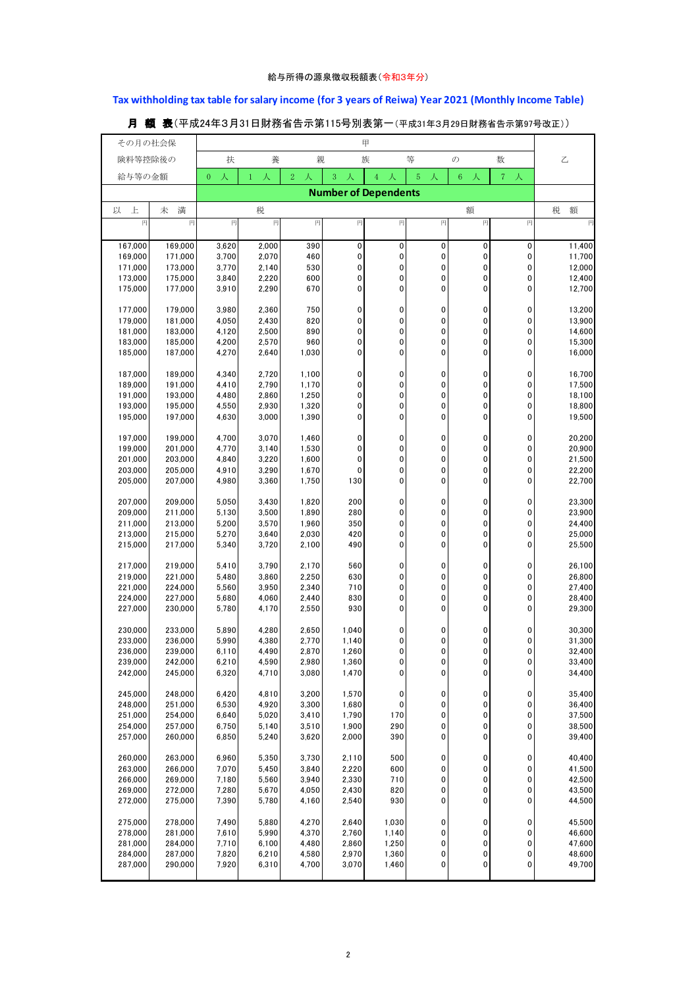## **Tax withholding tax table for salary income (for 3 years of Reiwa) Year 2021 (Monthly Income Table)**

| その月の社会保            |                    |                     |                   |                              |                       | 甲                           |                     |                        |                     |                  |
|--------------------|--------------------|---------------------|-------------------|------------------------------|-----------------------|-----------------------------|---------------------|------------------------|---------------------|------------------|
| 険料等控除後の            |                    | 扶                   | 養                 | 親                            |                       | 族                           | 等                   | $\mathcal{O}$          | 数                   | 乙                |
|                    |                    |                     |                   |                              |                       |                             |                     |                        |                     |                  |
| 給与等の金額             |                    | 人<br>$\overline{0}$ | 人<br>$\mathbf{1}$ | $\overline{\mathbf{2}}$<br>人 | $\boldsymbol{3}$<br>人 | $\overline{4}$<br>人         | $\overline{5}$<br>人 | $\,6\,$<br>人           | 7 <sup>1</sup><br>人 |                  |
|                    |                    |                     |                   |                              |                       | <b>Number of Dependents</b> |                     |                        |                     |                  |
| 上<br>以             | 満<br>未             |                     | 税                 |                              |                       |                             |                     | 額                      |                     | 税<br>額           |
| 円                  | 円                  | 円                   | 円                 | 円                            | 円                     | 円                           | 円                   | 円                      | 円                   | 円                |
|                    |                    |                     |                   |                              |                       |                             |                     |                        |                     |                  |
| 167,000            | 169,000            | 3,620               | 2,000             | 390                          | 0                     | $\mathbf 0$                 | 0                   | $\pmb{0}$              | 0                   | 11,400           |
| 169,000            | 171,000            | 3,700               | 2,070             | 460                          | 0                     | 0                           | 0                   | $\pmb{0}$              | 0                   | 11,700           |
| 171,000            | 173,000            | 3,770               | 2,140             | 530                          | 0                     | 0                           | 0                   | 0                      | 0                   | 12,000           |
| 173,000<br>175,000 | 175,000<br>177,000 | 3,840<br>3,910      | 2,220<br>2,290    | 600<br>670                   | 0<br>0                | 0<br>0                      | 0<br>0              | $\pmb{0}$<br>0         | 0<br>0              | 12,400<br>12,700 |
|                    |                    |                     |                   |                              |                       |                             |                     |                        |                     |                  |
| 177,000            | 179,000            | 3,980               | 2,360             | 750                          | 0                     | 0                           | 0                   | 0                      | 0                   | 13,200           |
| 179,000            | 181,000            | 4,050               | 2,430             | 820                          | 0                     | 0                           | 0                   | $\pmb{0}$              | 0                   | 13,900           |
| 181,000            | 183,000            | 4,120               | 2,500             | 890                          | 0                     | 0                           | 0                   | 0                      | 0                   | 14,600           |
| 183,000            | 185,000            | 4,200               | 2,570             | 960                          | 0                     | 0                           | 0                   | $\pmb{0}$              | 0                   | 15,300           |
| 185,000            | 187,000            | 4,270               | 2,640             | 1,030                        | 0                     | 0                           | 0                   | $\pmb{0}$              | 0                   | 16,000           |
| 187,000            | 189,000            | 4,340               | 2,720             | 1,100                        | 0                     | 0                           | 0                   | 0                      | 0                   | 16,700           |
| 189,000            | 191,000            | 4,410               | 2,790             | 1,170                        | 0                     | 0                           | 0                   | $\mathbf 0$            | 0                   | 17,500           |
| 191,000            | 193,000            | 4,480               | 2,860             | 1,250                        | 0                     | 0                           | 0                   | 0                      | 0                   | 18,100           |
| 193,000            | 195,000            | 4,550               | 2,930             | 1,320                        | 0                     | 0                           | 0                   | $\pmb{0}$              | 0                   | 18,800           |
| 195,000            | 197,000            | 4,630               | 3,000             | 1,390                        | 0                     | 0                           | 0                   | $\pmb{0}$              | 0                   | 19,500           |
|                    |                    |                     |                   |                              |                       |                             |                     |                        |                     |                  |
| 197,000            | 199,000            | 4,700               | 3,070             | 1,460                        | 0                     | 0                           | 0                   | 0                      | 0                   | 20,200           |
| 199,000            | 201,000            | 4,770               | 3,140             | 1,530                        | 0                     | 0                           | 0                   | $\pmb{0}$              | 0                   | 20,900           |
| 201,000<br>203,000 | 203,000<br>205,000 | 4,840<br>4,910      | 3,220<br>3,290    | 1,600<br>1,670               | 0<br>0                | 0<br>0                      | 0<br>0              | $\pmb{0}$<br>$\pmb{0}$ | 0<br>0              | 21,500<br>22,200 |
| 205,000            | 207,000            | 4,980               | 3,360             | 1,750                        | 130                   | $\mathbf 0$                 | 0                   | $\mathbf 0$            | 0                   | 22,700           |
|                    |                    |                     |                   |                              |                       |                             |                     |                        |                     |                  |
| 207,000            | 209,000            | 5,050               | 3,430             | 1,820                        | 200                   | 0                           | 0                   | 0                      | 0                   | 23,300           |
| 209,000            | 211,000            | 5,130               | 3,500             | 1,890                        | 280                   | 0                           | 0                   | 0                      | 0                   | 23,900           |
| 211,000            | 213,000            | 5,200               | 3,570             | 1,960                        | 350                   | 0                           | 0                   | $\pmb{0}$              | 0                   | 24,400           |
| 213,000            | 215,000            | 5,270               | 3,640             | 2,030                        | 420                   | 0                           | 0                   | 0                      | 0                   | 25,000           |
| 215,000            | 217,000            | 5,340               | 3,720             | 2,100                        | 490                   | $\overline{0}$              | 0                   | $\mathbf 0$            | 0                   | 25,500           |
| 217,000            | 219,000            | 5,410               | 3,790             | 2,170                        | 560                   | 0                           | 0                   | $\pmb{0}$              | 0                   | 26,100           |
| 219,000            | 221,000            | 5,480               | 3,860             | 2,250                        | 630                   | 0                           | 0                   | 0                      | 0                   | 26,800           |
| 221,000            | 224,000            | 5,560               | 3,950             | 2,340                        | 710                   | $\mathbf 0$                 | 0                   | $\pmb{0}$              | 0                   | 27,400           |
| 224,000            | 227,000            | 5,680               | 4,060             | 2,440                        | 830                   | 0                           | 0                   | 0                      | 0                   | 28,400           |
| 227,000            | 230,000            | 5,780               | 4,170             | 2,550                        | 930                   | 0                           | 0                   | $\pmb{0}$              | 0                   | 29,300           |
|                    |                    |                     |                   |                              |                       |                             |                     |                        |                     |                  |
| 230,000<br>233,000 | 233,000<br>236,000 | 5,890<br>5,990      | 4,280<br>4,380    | 2,650<br>2,770               | 1,040<br>1,140        | 0<br>0                      | 0<br>0              | 0<br>0                 | 0<br>0              | 30,300<br>31,300 |
| 236.000            | 239.000            | 6.110               | 4,490             | 2.870                        | 1,260                 | 0                           | 0                   | 0                      | 0                   | 32.400           |
| 239,000            | 242,000            | 6,210               | 4,590             | 2,980                        | 1,360                 | 0                           | 0                   | 0                      | 0                   | 33,400           |
| 242,000            | 245,000            | 6,320               | 4,710             | 3,080                        | 1,470                 | 0                           | 0                   | 0                      | 0                   | 34,400           |
|                    |                    |                     |                   |                              |                       |                             |                     |                        |                     |                  |
| 245,000            | 248,000            | 6,420               | 4,810             | 3,200                        | 1,570                 | 0                           | 0                   | 0                      | 0                   | 35,400           |
| 248,000            | 251,000            | 6,530               | 4,920             | 3,300                        | 1,680                 | 0                           | 0                   | 0                      | 0                   | 36,400           |
| 251,000            | 254,000            | 6,640               | 5,020             | 3,410                        | 1,790                 | 170                         | 0                   | 0                      | 0                   | 37,500           |
| 254,000<br>257,000 | 257,000<br>260,000 | 6,750<br>6,850      | 5,140<br>5,240    | 3,510<br>3,620               | 1,900<br>2,000        | 290<br>390                  | 0<br>0              | 0<br>0                 | 0<br>0              | 38,500<br>39,400 |
|                    |                    |                     |                   |                              |                       |                             |                     |                        |                     |                  |
| 260,000            | 263,000            | 6,960               | 5,350             | 3,730                        | 2,110                 | 500                         | 0                   | 0                      | 0                   | 40,400           |
| 263,000            | 266,000            | 7,070               | 5,450             | 3,840                        | 2,220                 | 600                         | 0                   | 0                      | 0                   | 41,500           |
| 266,000            | 269,000            | 7,180               | 5,560             | 3,940                        | 2,330                 | 710                         | 0                   | 0                      | 0                   | 42,500           |
| 269,000            | 272,000            | 7,280               | 5,670             | 4,050                        | 2,430                 | 820                         | 0                   | 0                      | 0                   | 43,500           |
| 272.000            | 275,000            | 7,390               | 5,780             | 4,160                        | 2,540                 | 930                         | 0                   | 0                      | 0                   | 44,500           |
| 275,000            | 278,000            | 7,490               | 5,880             | 4,270                        | 2,640                 | 1,030                       | 0                   | 0                      | 0                   | 45,500           |
| 278,000            | 281,000            | 7,610               | 5,990             | 4,370                        | 2,760                 | 1,140                       | 0                   | 0                      | 0                   | 46,600           |
| 281,000            | 284,000            | 7,710               | 6,100             | 4,480                        | 2,860                 | 1,250                       | 0                   | 0                      | 0                   | 47,600           |
| 284,000            | 287,000            | 7,820               | 6,210             | 4,580                        | 2,970                 | 1,360                       | 0                   | 0                      | 0                   | 48,600           |
| 287,000            | 290,000            | 7,920               | 6,310             | 4,700                        | 3,070                 | 1,460                       | 0                   | 0                      | 0                   | 49,700           |
|                    |                    |                     |                   |                              |                       |                             |                     |                        |                     |                  |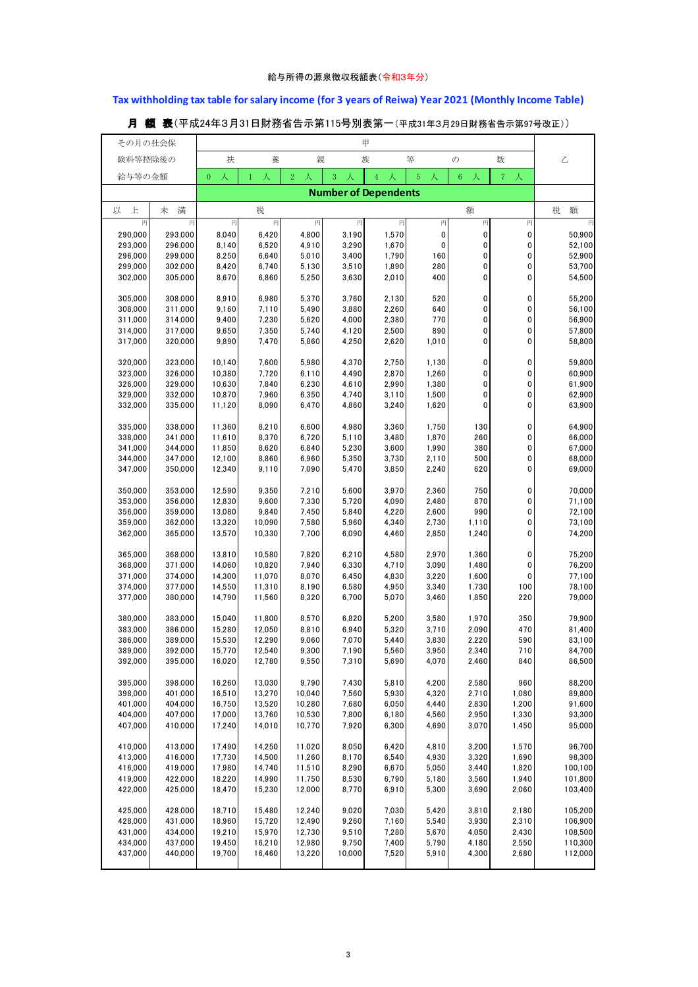## **Tax withholding tax table for salary income (for 3 years of Reiwa) Year 2021 (Monthly Income Table)**

| その月の社会保            |                    |                     |                             |                     |                | 甲              |                     |                |                        |                  |  |  |
|--------------------|--------------------|---------------------|-----------------------------|---------------------|----------------|----------------|---------------------|----------------|------------------------|------------------|--|--|
| 険料等控除後の            |                    | 扶                   | 養                           | 親                   |                | 族              | 等                   | $\sigma$       | 数                      | 乙                |  |  |
| 給与等の金額             |                    | 人<br>$\overline{0}$ | 人<br>$\mathbf{1}$           | 2 <sup>1</sup><br>人 | 3              | $\overline{4}$ | $\overline{5}$<br>人 | $\sqrt{6}$     | 7 <sup>1</sup><br>人    |                  |  |  |
|                    |                    |                     | <b>Number of Dependents</b> |                     |                |                |                     |                |                        |                  |  |  |
| 上<br>以             | 満<br>未             |                     | 税                           |                     |                |                |                     | 額              |                        | 税<br>額           |  |  |
| 円<br>290,000       | 円<br>293,000       | 円<br>8,040          | 円<br>6,420                  | 円<br>4,800          | 円<br>3,190     | 円<br>1,570     | 円<br>$\mathbf 0$    | 円<br>0         | 円<br>$\pmb{0}$         | 円<br>50,900      |  |  |
| 293,000            | 296,000            | 8,140               | 6,520                       | 4,910               | 3,290          | 1,670          | $\pmb{0}$           | 0              | 0                      | 52,100           |  |  |
| 296,000            | 299,000            | 8,250               | 6,640                       | 5.010               | 3,400          | 1,790          | 160                 | 0              | $\mathbf 0$            | 52,900           |  |  |
| 299,000            | 302,000            | 8,420               | 6,740                       | 5,130               | 3,510          | 1,890          | 280                 | 0              | 0                      | 53,700           |  |  |
| 302,000            | 305,000            | 8,670               | 6,860                       | 5,250               | 3,630          | 2,010          | 400                 | 0              | 0                      | 54,500           |  |  |
| 305,000            | 308,000            | 8,910               | 6,980                       | 5,370               | 3,760          | 2,130          | 520                 | 0              | $\pmb{0}$              | 55,200           |  |  |
| 308,000            | 311,000<br>314,000 | 9,160<br>9,400      | 7,110<br>7,230              | 5,490               | 3,880<br>4,000 | 2,260<br>2,380 | 640<br>770          | 0<br>0         | $\pmb{0}$<br>0         | 56,100<br>56,900 |  |  |
| 311,000<br>314,000 | 317,000            | 9,650               | 7,350                       | 5,620<br>5,740      | 4,120          | 2,500          | 890                 | 0              | 0                      | 57,800           |  |  |
| 317,000            | 320,000            | 9,890               | 7,470                       | 5,860               | 4,250          | 2,620          | 1,010               | 0              | 0                      | 58,800           |  |  |
|                    |                    |                     |                             |                     |                |                |                     |                |                        |                  |  |  |
| 320,000            | 323,000<br>326,000 | 10,140              | 7,600                       | 5,980               | 4,370          | 2,750          | 1,130               | 0<br>0         | $\pmb{0}$<br>$\pmb{0}$ | 59,800           |  |  |
| 323,000<br>326,000 | 329,000            | 10,380<br>10,630    | 7,720<br>7,840              | 6,110<br>6,230      | 4,490<br>4,610 | 2,870<br>2,990 | 1,260<br>1,380      | 0              | 0                      | 60,900<br>61,900 |  |  |
| 329,000            | 332,000            | 10,870              | 7,960                       | 6,350               | 4,740          | 3,110          | 1,500               | 0              | $\pmb{0}$              | 62,900           |  |  |
| 332,000            | 335,000            | 11,120              | 8,090                       | 6,470               | 4,860          | 3,240          | 1,620               | 0              | 0                      | 63,900           |  |  |
| 335,000            | 338,000            | 11,360              | 8,210                       | 6,600               | 4,980          | 3,360          | 1,750               | 130            | 0                      | 64,900           |  |  |
| 338,000            | 341,000            | 11,610              | 8,370                       | 6,720               | 5,110          | 3,480          | 1,870               | 260            | 0                      | 66,000           |  |  |
| 341,000            | 344,000            | 11,850              | 8,620                       | 6,840               | 5,230          | 3,600          | 1,990               | 380            | 0                      | 67,000           |  |  |
| 344,000            | 347,000            | 12,100              | 8,860                       | 6,960               | 5,350          | 3,730          | 2,110               | 500            | 0                      | 68,000           |  |  |
| 347,000            | 350,000            | 12,340              | 9,110                       | 7,090               | 5,470          | 3,850          | 2,240               | 620            | 0                      | 69,000           |  |  |
| 350,000            | 353,000            | 12,590              | 9,350                       | 7,210               | 5,600          | 3,970          | 2,360               | 750            | 0                      | 70,000           |  |  |
| 353,000            | 356,000            | 12,830              | 9,600                       | 7,330               | 5,720          | 4,090          | 2,480               | 870            | $\mathbf 0$            | 71,100           |  |  |
| 356,000            | 359,000            | 13,080              | 9,840                       | 7,450               | 5,840          | 4,220          | 2,600               | 990            | 0                      | 72,100           |  |  |
| 359,000<br>362,000 | 362,000<br>365,000 | 13,320<br>13,570    | 10,090<br>10,330            | 7,580<br>7,700      | 5,960<br>6,090 | 4,340<br>4,460 | 2,730<br>2,850      | 1,110<br>1,240 | $\mathbf 0$<br>0       | 73,100<br>74,200 |  |  |
|                    |                    |                     |                             |                     |                |                |                     |                |                        |                  |  |  |
| 365,000            | 368,000<br>371,000 | 13,810<br>14,060    | 10,580<br>10,820            | 7,820               | 6,210<br>6,330 | 4,580<br>4,710 | 2,970<br>3,090      | 1,360<br>1,480 | 0<br>$\mathbf 0$       | 75,200           |  |  |
| 368,000<br>371,000 | 374,000            | 14,300              | 11,070                      | 7,940<br>8,070      | 6,450          | 4,830          | 3,220               | 1,600          | 0                      | 76,200<br>77,100 |  |  |
| 374,000            | 377,000            | 14,550              | 11,310                      | 8,190               | 6,580          | 4,950          | 3,340               | 1,730          | 100                    | 78,100           |  |  |
| 377,000            | 380,000            | 14,790              | 11,560                      | 8,320               | 6,700          | 5,070          | 3,460               | 1,850          | 220                    | 79,000           |  |  |
| 380,000            | 383,000            | 15,040              | 11,800                      | 8,570               | 6,820          | 5,200          | 3,580               | 1,970          | 350                    | 79,900           |  |  |
| 383,000            | 386,000            | 15,280              | 12,050                      | 8,810               | 6,940          | 5,320          | 3,710               | 2,090          | 470                    | 81,400           |  |  |
| 386,000            | 389,000            | 15,530              | 12,290                      | 9,060               | 7,070          | 5,440          | 3,830               | 2,220          | 590                    | 83,100           |  |  |
| 389,000            | 392,000            | 15,770              | 12,540                      | 9,300               | 7,190          | 5,560          | 3,950               | 2,340          | 710                    | 84,700           |  |  |
| 392,000            | 395,000            | 16,020              | 12,780                      | 9,550               | 7,310          | 5,690          | 4,070               | 2,460          | 840                    | 86,500           |  |  |
| 395,000            | 398,000            | 16,260              | 13,030                      | 9,790               | 7,430          | 5,810          | 4,200               | 2,580          | 960                    | 88,200           |  |  |
| 398,000            | 401,000            | 16,510              | 13,270                      | 10,040              | 7,560          | 5,930          | 4,320               | 2,710          | 1,080                  | 89,800           |  |  |
| 401,000            | 404,000            | 16,750              | 13,520                      | 10,280              | 7,680          | 6,050          | 4,440               | 2,830          | 1,200                  | 91,600           |  |  |
| 404,000<br>407,000 | 407,000<br>410,000 | 17,000<br>17,240    | 13,760<br>14,010            | 10,530<br>10,770    | 7,800<br>7,920 | 6,180<br>6,300 | 4,560<br>4,690      | 2,950<br>3,070 | 1,330<br>1,450         | 93,300<br>95,000 |  |  |
|                    |                    |                     |                             |                     |                |                |                     |                |                        |                  |  |  |
| 410,000<br>413,000 | 413,000<br>416,000 | 17,490<br>17,730    | 14,250<br>14,500            | 11,020<br>11,260    | 8,050<br>8,170 | 6,420<br>6,540 | 4,810<br>4,930      | 3,200<br>3,320 | 1,570<br>1,690         | 96,700<br>98,300 |  |  |
| 416.000            | 419,000            | 17,980              | 14,740                      | 11,510              | 8,290          | 6,670          | 5,050               | 3,440          | 1,820                  | 100,100          |  |  |
| 419,000            | 422,000            | 18,220              | 14,990                      | 11,750              | 8,530          | 6,790          | 5,180               | 3,560          | 1,940                  | 101,800          |  |  |
| 422,000            | 425,000            | 18,470              | 15,230                      | 12,000              | 8,770          | 6,910          | 5,300               | 3,690          | 2,060                  | 103,400          |  |  |
| 425,000            | 428,000            | 18,710              | 15,480                      | 12,240              | 9,020          | 7,030          | 5,420               | 3,810          | 2,180                  | 105,200          |  |  |
| 428,000            | 431,000            | 18,960              | 15,720                      | 12,490              | 9,260          | 7,160          | 5,540               | 3,930          | 2,310                  | 106,900          |  |  |
| 431,000            | 434,000            | 19,210              | 15,970                      | 12,730              | 9,510          | 7,280          | 5,670               | 4,050          | 2,430                  | 108,500          |  |  |
| 434,000            | 437,000            | 19,450              | 16,210                      | 12,980              | 9,750          | 7,400          | 5,790               | 4,180          | 2,550                  | 110,300          |  |  |
| 437,000            | 440,000            | 19,700              | 16,460                      | 13,220              | 10,000         | 7,520          | 5,910               | 4,300          | 2,680                  | 112,000          |  |  |
|                    |                    |                     |                             |                     |                |                |                     |                |                        |                  |  |  |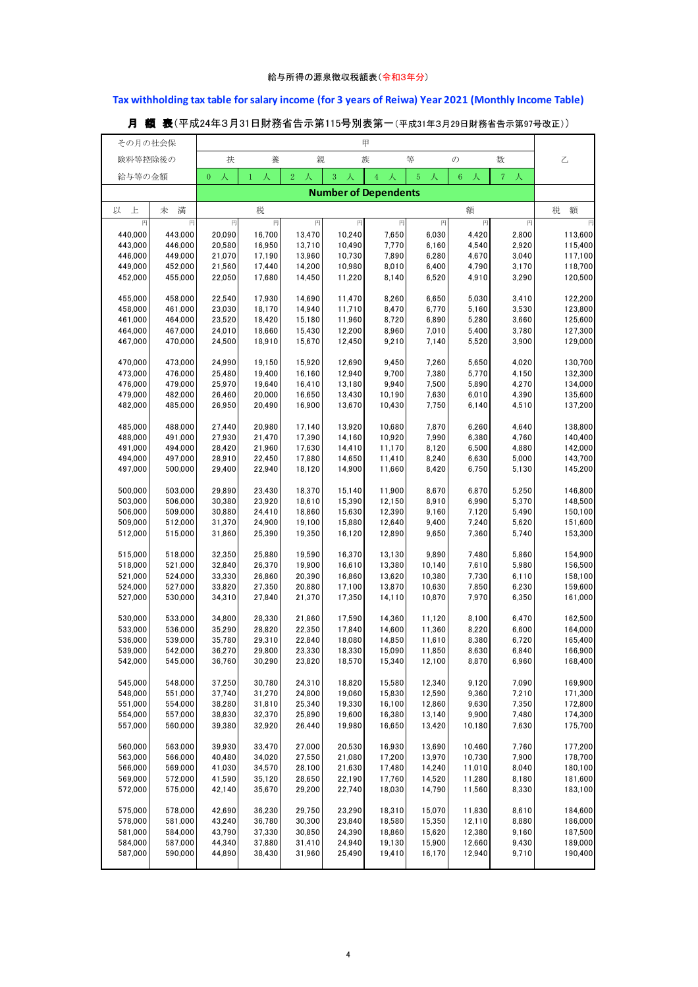## **Tax withholding tax table for salary income (for 3 years of Reiwa) Year 2021 (Monthly Income Table)**

| その月の社会保            |                    |                     |                   |                     |                  | 甲                           |                  |                  |                |                    |
|--------------------|--------------------|---------------------|-------------------|---------------------|------------------|-----------------------------|------------------|------------------|----------------|--------------------|
| 険料等控除後の            |                    | 扶                   | 養                 | 親                   |                  | 族                           | 等                | $\mathcal{O}$    | 数              | 乙                  |
|                    |                    |                     |                   |                     |                  |                             |                  |                  |                |                    |
| 給与等の金額             |                    | 人<br>$\overline{0}$ | 人<br>$\mathbf{1}$ | $\overline{2}$<br>人 | 3<br>人           | $4^{\circ}$<br>人            | 5<br>人           | $\,6\,$<br>人     | $7 - \lambda$  |                    |
|                    |                    |                     |                   |                     |                  | <b>Number of Dependents</b> |                  |                  |                |                    |
| 上                  |                    |                     |                   |                     |                  |                             |                  |                  |                | 税                  |
| 以                  | 満<br>未             |                     | 税                 |                     |                  |                             |                  | 額                |                | 額                  |
| 円                  | 円                  | 円                   | 円                 | 円                   | 円                | 円                           | 円                | 円                | 円              | 円                  |
| 440,000<br>443,000 | 443,000<br>446,000 | 20,090<br>20,580    | 16,700<br>16,950  | 13,470<br>13,710    | 10,240<br>10,490 | 7,650<br>7,770              | 6,030<br>6,160   | 4,420<br>4,540   | 2,800<br>2,920 | 113,600<br>115,400 |
| 446,000            | 449,000            | 21,070              | 17,190            | 13,960              | 10,730           | 7,890                       | 6,280            | 4,670            | 3,040          | 117,100            |
| 449,000            | 452,000            | 21,560              | 17,440            | 14,200              | 10,980           | 8,010                       | 6,400            | 4,790            | 3,170          | 118,700            |
| 452,000            | 455,000            | 22,050              | 17,680            | 14,450              | 11,220           | 8,140                       | 6,520            | 4,910            | 3,290          | 120,500            |
|                    |                    |                     |                   |                     |                  |                             |                  |                  |                |                    |
| 455,000            | 458,000            | 22,540              | 17,930            | 14,690              | 11,470           | 8,260                       | 6,650            | 5,030            | 3,410          | 122,200            |
| 458,000            | 461,000            | 23,030              | 18,170            | 14,940              | 11,710           | 8,470                       | 6,770            | 5,160            | 3,530          | 123,800            |
| 461,000            | 464,000            | 23,520              | 18,420            | 15,180              | 11,960           | 8,720                       | 6,890            | 5,280            | 3,660          | 125,600            |
| 464,000            | 467,000            | 24,010              | 18,660            | 15,430              | 12,200           | 8,960                       | 7,010            | 5,400            | 3,780          | 127,300            |
| 467,000            | 470,000            | 24,500              | 18,910            | 15,670              | 12,450           | 9,210                       | 7,140            | 5,520            | 3,900          | 129,000            |
| 470,000            | 473,000            | 24,990              | 19,150            | 15,920              | 12,690           | 9,450                       | 7,260            | 5,650            | 4,020          | 130,700            |
| 473,000            | 476,000            | 25,480              | 19,400            | 16,160              | 12,940           | 9,700                       | 7,380            | 5,770            | 4,150          | 132,300            |
| 476,000            | 479,000            | 25,970              | 19,640            | 16,410              | 13,180           | 9,940                       | 7,500            | 5,890            | 4,270          | 134,000            |
| 479,000            | 482,000            | 26,460              | 20,000            | 16,650              | 13,430           | 10,190                      | 7,630            | 6,010            | 4,390          | 135,600            |
| 482,000            | 485,000            | 26,950              | 20,490            | 16,900              | 13,670           | 10,430                      | 7,750            | 6,140            | 4,510          | 137,200            |
|                    |                    |                     |                   |                     |                  |                             |                  |                  |                |                    |
| 485,000            | 488,000            | 27,440              | 20,980            | 17,140              | 13,920           | 10,680                      | 7,870            | 6,260            | 4,640          | 138,800            |
| 488,000            | 491,000            | 27,930              | 21,470            | 17,390              | 14,160           | 10,920                      | 7,990            | 6,380            | 4,760          | 140,400            |
| 491,000            | 494,000            | 28,420              | 21,960            | 17,630              | 14,410           | 11,170                      | 8,120            | 6,500            | 4,880          | 142,000            |
| 494,000<br>497,000 | 497,000<br>500,000 | 28,910<br>29,400    | 22,450<br>22,940  | 17,880<br>18,120    | 14,650<br>14,900 | 11,410<br>11,660            | 8,240<br>8,420   | 6,630<br>6,750   | 5,000          | 143,700<br>145,200 |
|                    |                    |                     |                   |                     |                  |                             |                  |                  | 5,130          |                    |
| 500,000            | 503,000            | 29,890              | 23,430            | 18,370              | 15,140           | 11,900                      | 8,670            | 6,870            | 5,250          | 146,800            |
| 503,000            | 506,000            | 30,380              | 23,920            | 18,610              | 15,390           | 12,150                      | 8,910            | 6,990            | 5,370          | 148,500            |
| 506,000            | 509,000            | 30,880              | 24,410            | 18,860              | 15,630           | 12,390                      | 9,160            | 7,120            | 5,490          | 150,100            |
| 509,000            | 512,000            | 31,370              | 24,900            | 19,100              | 15,880           | 12,640                      | 9,400            | 7,240            | 5,620          | 151,600            |
| 512,000            | 515,000            | 31,860              | 25,390            | 19,350              | 16,120           | 12,890                      | 9,650            | 7,360            | 5,740          | 153,300            |
|                    |                    |                     |                   |                     |                  |                             |                  |                  |                |                    |
| 515,000            | 518,000            | 32,350              | 25,880            | 19,590              | 16,370           | 13,130                      | 9,890            | 7,480            | 5,860          | 154,900            |
| 518,000<br>521,000 | 521,000<br>524,000 | 32,840<br>33,330    | 26,370<br>26,860  | 19,900<br>20,390    | 16,610<br>16,860 | 13,380<br>13,620            | 10,140<br>10,380 | 7,610<br>7,730   | 5,980<br>6,110 | 156,500<br>158,100 |
| 524,000            | 527,000            | 33,820              | 27,350            | 20,880              | 17,100           | 13,870                      | 10,630           | 7,850            | 6,230          | 159,600            |
| 527,000            | 530,000            | 34,310              | 27,840            | 21,370              | 17,350           | 14,110                      | 10,870           | 7,970            | 6,350          | 161,000            |
|                    |                    |                     |                   |                     |                  |                             |                  |                  |                |                    |
| 530,000            | 533,000            | 34,800              | 28,330            | 21,860              | 17,590           | 14,360                      | 11,120           | 8,100            | 6,470          | 162,500            |
| 533,000            | 536,000            | 35,290              | 28,820            | 22,350              | 17,840           | 14,600                      | 11,360           | 8,220            | 6,600          | 164,000            |
| 536,000            | 539,000            | 35,780              | 29,310            | 22,840              | 18,080           | 14,850                      | 11,610           | 8,380            | 6,720          | 165,400            |
| 539.000            | 542,000            | 36.270              | 29.800            | 23330               | 18,330           | 15,090                      | 11,850           | 8,630            | 6,840          | 166,900            |
| 542,000            | 545,000            | 36,760              | 30,290            | 23,820              | 18,570           | 15,340                      | 12,100           | 8,870            | 6,960          | 168,400            |
| 545,000            | 548.000            | 37,250              | 30,780            | 24,310              | 18,820           | 15,580                      | 12,340           | 9,120            | 7,090          | 169,900            |
| 548,000            | 551,000            | 37,740              | 31,270            | 24,800              | 19,060           | 15,830                      | 12,590           | 9,360            | 7,210          | 171,300            |
| 551,000            | 554,000            | 38,280              | 31,810            | 25,340              | 19,330           | 16,100                      | 12,860           | 9,630            | 7,350          | 172,800            |
| 554,000            | 557,000            | 38,830              | 32,370            | 25,890              | 19,600           | 16,380                      | 13,140           | 9,900            | 7,480          | 174,300            |
| 557,000            | 560,000            | 39,380              | 32,920            | 26,440              | 19,980           | 16,650                      | 13,420           | 10,180           | 7,630          | 175,700            |
|                    |                    |                     |                   |                     |                  |                             |                  |                  |                |                    |
| 560,000            | 563,000            | 39,930              | 33,470            | 27,000              | 20,530           | 16,930                      | 13,690           | 10,460           | 7,760          | 177,200            |
| 563,000            | 566,000            | 40,480              | 34,020            | 27,550              | 21,080           | 17,200                      | 13,970           | 10,730           | 7,900          | 178,700            |
| 566,000            | 569.000            | 41,030              | 34,570            | 28.100              | 21,630           | 17,480                      | 14,240           | 11,010           | 8.040          | 180,100            |
| 569,000<br>572,000 | 572,000<br>575,000 | 41,590<br>42,140    | 35,120<br>35,670  | 28,650<br>29,200    | 22,190<br>22,740 | 17,760<br>18,030            | 14,520<br>14,790 | 11,280<br>11,560 | 8,180<br>8,330 | 181,600<br>183,100 |
|                    |                    |                     |                   |                     |                  |                             |                  |                  |                |                    |
| 575,000            | 578,000            | 42,690              | 36,230            | 29,750              | 23,290           | 18,310                      | 15,070           | 11,830           | 8,610          | 184,600            |
| 578,000            | 581,000            | 43,240              | 36,780            | 30,300              | 23,840           | 18,580                      | 15,350           | 12,110           | 8,880          | 186,000            |
| 581,000            | 584,000            | 43,790              | 37,330            | 30,850              | 24,390           | 18,860                      | 15,620           | 12,380           | 9,160          | 187,500            |
| 584,000            | 587,000            | 44,340              | 37,880            | 31,410              | 24,940           | 19,130                      | 15,900           | 12,660           | 9,430          | 189,000            |
| 587,000            | 590,000            | 44,890              | 38,430            | 31,960              | 25,490           | 19,410                      | 16,170           | 12,940           | 9,710          | 190,400            |
|                    |                    |                     |                   |                     |                  |                             |                  |                  |                |                    |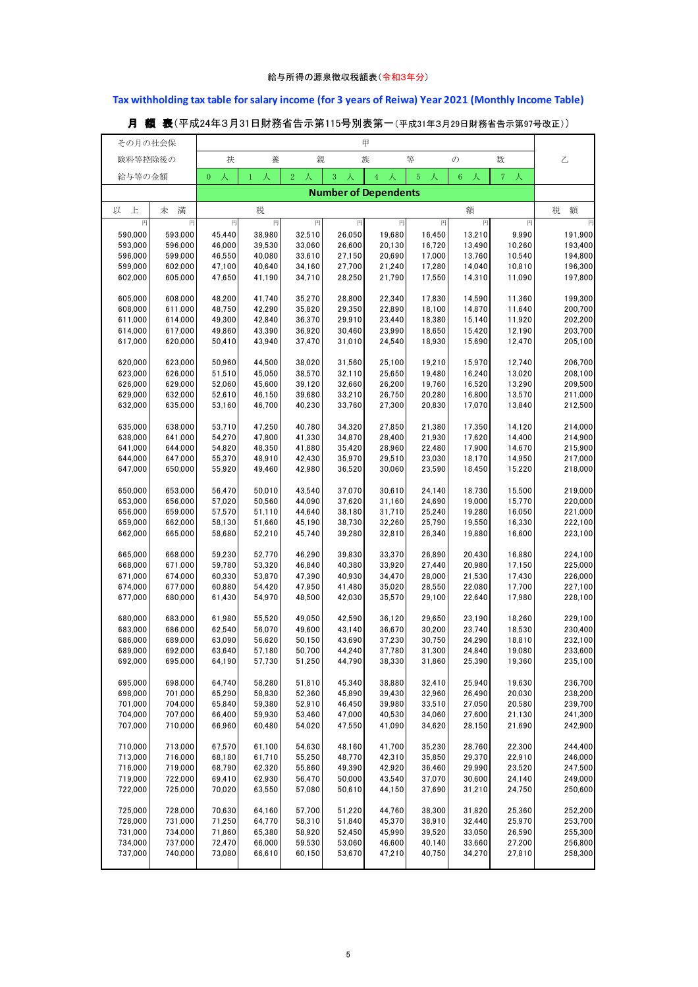## **Tax withholding tax table for salary income (for 3 years of Reiwa) Year 2021 (Monthly Income Table)**

| その月の社会保            |                    |                     |                   |                     |                  | 甲                           |                  |                  |                     |                    |
|--------------------|--------------------|---------------------|-------------------|---------------------|------------------|-----------------------------|------------------|------------------|---------------------|--------------------|
|                    |                    |                     |                   |                     |                  |                             | 等                |                  |                     |                    |
| 険料等控除後の            |                    | 扶                   | 養                 | 親                   |                  | 族                           |                  | $\mathcal{O}$    | 数                   | 乙                  |
| 給与等の金額             |                    | 人<br>$\overline{0}$ | 人<br>$\mathbf{1}$ | $\overline{2}$<br>人 | 3<br>人           | $\overline{4}$<br>人         | $\sqrt{5}$<br>人  | $\sqrt{6}$<br>人  | 7 <sup>1</sup><br>人 |                    |
|                    |                    |                     |                   |                     |                  | <b>Number of Dependents</b> |                  |                  |                     |                    |
|                    |                    |                     |                   |                     |                  |                             |                  |                  |                     |                    |
| 上<br>以             | 満<br>未             |                     | 税                 |                     |                  |                             |                  | 額                |                     | 税<br>額             |
| 円                  | 円                  | 円                   | 円                 | 円                   | 円                | 円                           | 円                | 円                | 円                   | 円                  |
| 590,000            | 593,000            | 45,440              | 38,980            | 32,510              | 26,050           | 19,680                      | 16,450           | 13,210           | 9,990               | 191,900            |
| 593,000            | 596,000            | 46,000              | 39,530            | 33,060              | 26,600           | 20,130                      | 16,720           | 13,490           | 10,260              | 193,400            |
| 596,000            | 599,000            | 46,550              | 40,080            | 33,610              | 27,150           | 20,690                      | 17,000           | 13,760           | 10,540              | 194,800            |
| 599,000            | 602,000            | 47,100              | 40,640            | 34,160              | 27,700           | 21,240                      | 17,280           | 14,040           | 10,810              | 196,300            |
| 602,000            | 605,000            | 47,650              | 41,190            | 34,710              | 28,250           | 21,790                      | 17,550           | 14,310           | 11,090              | 197,800            |
|                    |                    |                     |                   |                     |                  |                             |                  |                  |                     |                    |
| 605,000<br>608,000 | 608,000<br>611,000 | 48,200<br>48,750    | 41,740<br>42,290  | 35,270<br>35,820    | 28,800<br>29,350 | 22,340<br>22,890            | 17,830<br>18,100 | 14,590<br>14,870 | 11,360<br>11,640    | 199,300<br>200,700 |
| 611,000            | 614,000            | 49,300              | 42,840            | 36,370              | 29,910           | 23,440                      | 18,380           | 15,140           | 11,920              | 202,200            |
| 614,000            | 617,000            | 49,860              | 43,390            | 36,920              | 30,460           | 23,990                      | 18,650           | 15,420           | 12,190              | 203,700            |
| 617,000            | 620,000            | 50,410              | 43,940            | 37,470              | 31,010           | 24,540                      | 18,930           | 15,690           | 12,470              | 205,100            |
|                    |                    |                     |                   |                     |                  |                             |                  |                  |                     |                    |
| 620,000            | 623,000            | 50,960              | 44,500            | 38,020              | 31,560           | 25,100                      | 19,210           | 15,970           | 12,740              | 206,700            |
| 623,000            | 626,000            | 51,510              | 45,050            | 38,570              | 32,110           | 25,650                      | 19,480           | 16,240           | 13,020              | 208,100            |
| 626,000            | 629,000            | 52,060              | 45,600            | 39,120              | 32,660           | 26,200                      | 19,760           | 16,520           | 13,290              | 209,500            |
| 629,000            | 632,000            | 52,610              | 46,150            | 39,680              | 33,210           | 26,750                      | 20,280           | 16,800           | 13,570              | 211,000            |
| 632,000            | 635,000            | 53,160              | 46,700            | 40,230              | 33,760           | 27,300                      | 20,830           | 17,070           | 13,840              | 212,500            |
|                    |                    |                     |                   |                     |                  |                             |                  |                  |                     |                    |
| 635,000            | 638,000            | 53,710              | 47,250            | 40,780              | 34,320           | 27,850                      | 21,380           | 17,350           | 14,120              | 214,000            |
| 638,000            | 641,000<br>644,000 | 54,270<br>54,820    | 47,800<br>48,350  | 41,330<br>41,880    | 34,870<br>35,420 | 28,400<br>28,960            | 21,930<br>22,480 | 17,620<br>17,900 | 14,400<br>14,670    | 214,900            |
| 641,000<br>644,000 | 647,000            | 55,370              | 48,910            | 42,430              | 35,970           | 29,510                      | 23,030           | 18,170           | 14,950              | 215,900<br>217,000 |
| 647,000            | 650,000            | 55,920              | 49,460            | 42,980              | 36,520           | 30,060                      | 23,590           | 18,450           | 15,220              | 218,000            |
|                    |                    |                     |                   |                     |                  |                             |                  |                  |                     |                    |
| 650,000            | 653,000            | 56,470              | 50,010            | 43,540              | 37,070           | 30,610                      | 24,140           | 18,730           | 15,500              | 219,000            |
| 653,000            | 656,000            | 57,020              | 50,560            | 44,090              | 37,620           | 31,160                      | 24,690           | 19,000           | 15,770              | 220,000            |
| 656,000            | 659,000            | 57,570              | 51,110            | 44,640              | 38,180           | 31,710                      | 25,240           | 19,280           | 16,050              | 221,000            |
| 659,000            | 662,000            | 58,130              | 51,660            | 45,190              | 38,730           | 32,260                      | 25,790           | 19,550           | 16,330              | 222,100            |
| 662,000            | 665,000            | 58,680              | 52,210            | 45,740              | 39,280           | 32,810                      | 26,340           | 19,880           | 16,600              | 223,100            |
|                    |                    |                     |                   |                     |                  |                             |                  |                  |                     |                    |
| 665,000            | 668,000            | 59,230              | 52,770            | 46,290              | 39,830           | 33,370                      | 26,890           | 20,430           | 16,880              | 224,100            |
| 668,000            | 671,000            | 59,780              | 53,320            | 46,840              | 40,380           | 33,920                      | 27,440           | 20,980           | 17,150              | 225,000            |
| 671,000<br>674,000 | 674,000<br>677,000 | 60,330<br>60,880    | 53,870<br>54,420  | 47,390<br>47,950    | 40,930<br>41,480 | 34,470<br>35,020            | 28,000<br>28,550 | 21,530<br>22,080 | 17,430<br>17,700    | 226,000<br>227,100 |
| 677,000            | 680,000            | 61,430              | 54,970            | 48,500              | 42,030           | 35,570                      | 29,100           | 22,640           | 17,980              | 228,100            |
|                    |                    |                     |                   |                     |                  |                             |                  |                  |                     |                    |
| 680,000            | 683,000            | 61,980              | 55,520            | 49,050              | 42,590           | 36,120                      | 29,650           | 23,190           | 18,260              | 229,100            |
| 683,000            | 686,000            | 62,540              | 56,070            | 49,600              | 43,140           | 36,670                      | 30,200           | 23,740           | 18,530              | 230,400            |
| 686,000            | 689,000            | 63,090              | 56,620            | 50,150              | 43,690           | 37,230                      | 30,750           | 24,290           | 18,810              | 232,100            |
| 689.000            | 692.000            | 63.640              | 57.180            | 50.700              | 44.240           | 37.780                      | 31.300           | 24.840           | 19.080              | 233,600            |
| 692,000            | 695,000            | 64,190              | 57,730            | 51,250              | 44,790           | 38,330                      | 31,860           | 25,390           | 19,360              | 235,100            |
|                    |                    |                     |                   |                     |                  |                             |                  |                  |                     |                    |
| 695,000            | 698,000            | 64,740              | 58,280            | 51,810              | 45,340           | 38,880                      | 32,410           | 25,940           | 19,630              | 236,700            |
| 698,000            | 701,000<br>704,000 | 65,290              | 58,830<br>59,380  | 52,360              | 45,890           | 39,430<br>39,980            | 32,960           | 26,490           | 20,030              | 238,200            |
| 701,000<br>704,000 | 707,000            | 65,840<br>66,400    | 59,930            | 52,910<br>53,460    | 46,450<br>47,000 | 40,530                      | 33,510<br>34,060 | 27,050<br>27,600 | 20,580<br>21,130    | 239,700<br>241,300 |
| 707,000            | 710,000            | 66,960              | 60,480            | 54,020              | 47,550           | 41,090                      | 34,620           | 28,150           | 21,690              | 242,900            |
|                    |                    |                     |                   |                     |                  |                             |                  |                  |                     |                    |
| 710,000            | 713,000            | 67,570              | 61,100            | 54,630              | 48.160           | 41,700                      | 35,230           | 28,760           | 22,300              | 244,400            |
| 713,000            | 716,000            | 68,180              | 61,710            | 55,250              | 48,770           | 42,310                      | 35,850           | 29,370           | 22,910              | 246,000            |
| 716,000            | 719,000            | 68,790              | 62,320            | 55,860              | 49,390           | 42,920                      | 36,460           | 29,990           | 23,520              | 247,500            |
| 719,000            | 722,000            | 69,410              | 62,930            | 56,470              | 50,000           | 43,540                      | 37,070           | 30,600           | 24,140              | 249,000            |
| 722,000            | 725,000            | 70,020              | 63,550            | 57,080              | 50,610           | 44,150                      | 37,690           | 31,210           | 24,750              | 250,600            |
|                    |                    |                     |                   |                     |                  |                             |                  |                  |                     |                    |
| 725,000            | 728,000            | 70,630              | 64,160            | 57,700              | 51,220           | 44,760                      | 38,300           | 31,820           | 25,360              | 252,200            |
| 728,000            | 731,000            | 71,250              | 64,770            | 58,310              | 51,840           | 45,370                      | 38,910           | 32,440           | 25,970              | 253,700            |
| 731,000            | 734,000            | 71,860              | 65,380            | 58,920              | 52,450           | 45,990                      | 39,520           | 33,050           | 26,590              | 255,300            |
| 734,000<br>737,000 | 737,000<br>740,000 | 72,470<br>73,080    | 66,000<br>66,610  | 59,530<br>60,150    | 53,060<br>53,670 | 46,600<br>47,210            | 40,140<br>40,750 | 33,660<br>34,270 | 27,200<br>27,810    | 256,800<br>258,300 |
|                    |                    |                     |                   |                     |                  |                             |                  |                  |                     |                    |
|                    |                    |                     |                   |                     |                  |                             |                  |                  |                     |                    |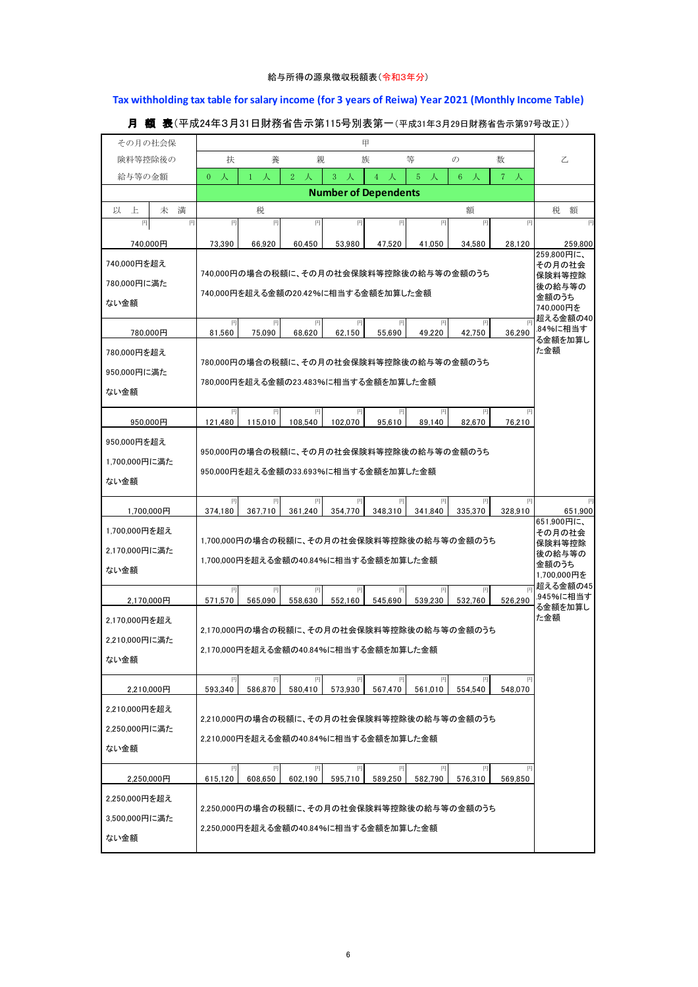## **Tax withholding tax table for salary income (for 3 years of Reiwa) Year 2021 (Monthly Income Table)**

| その月の社会保          |                                             |                                         |                     |                                       | 甲                   |                  |                                           |            |                       |  |  |
|------------------|---------------------------------------------|-----------------------------------------|---------------------|---------------------------------------|---------------------|------------------|-------------------------------------------|------------|-----------------------|--|--|
| 険料等控除後の          | 扶                                           | 乙                                       |                     |                                       |                     |                  |                                           |            |                       |  |  |
| 給与等の金額           | 人<br>$\overline{0}$                         | 人<br>$\mathbf{1}$                       | 2 <sup>1</sup><br>人 | 3<br>人                                | $\overline{4}$<br>人 | $5^{\circ}$<br>人 | $6^{\circ}$<br>人                          | $7\lambda$ |                       |  |  |
|                  |                                             | <b>Number of Dependents</b>             |                     |                                       |                     |                  |                                           |            |                       |  |  |
| 以<br>上<br>未<br>満 |                                             | 税                                       |                     |                                       |                     |                  | 額                                         |            | 税<br>額                |  |  |
| 円<br>円           | 円                                           | 円                                       | 円                   | 円                                     | 円                   | 円                | 円                                         | 円          |                       |  |  |
| 740,000円         | 73,390                                      | 66.920                                  | 60.450              | 53.980                                | 47,520              | 41.050           | 34.580                                    | 28,120     | 259.800<br>259,800円に、 |  |  |
| 740,000円を超え      |                                             |                                         |                     |                                       |                     |                  | 740,000円の場合の税額に、その月の社会保険料等控除後の給与等の金額のうち   |            | その月の社会                |  |  |
| 780,000円に満た      |                                             |                                         | 保険料等控除<br>後の給与等の    |                                       |                     |                  |                                           |            |                       |  |  |
| ない金額             | 740.000円を超える金額の20.42%に相当する金額を加算した金額         | 金額のうち<br>740,000円を                      |                     |                                       |                     |                  |                                           |            |                       |  |  |
|                  | 超える金額の40<br>円<br>円<br>円<br>円<br>円<br>円<br>円 |                                         |                     |                                       |                     |                  |                                           |            |                       |  |  |
| 780,000円         | 81,560                                      | 75,090                                  | 68,620              | 62,150                                | 55,690              | 49,220           | 42,750                                    | 36,290     | .84%に相当す<br>る金額を加算し   |  |  |
| 780,000円を超え      |                                             |                                         |                     |                                       |                     |                  | 780,000円の場合の税額に、その月の社会保険料等控除後の給与等の金額のうち   |            | た金額                   |  |  |
| 950.000円に満た      |                                             |                                         |                     | 780.000円を超える金額の23.483%に相当する金額を加算した金額  |                     |                  |                                           |            |                       |  |  |
| ない金額             |                                             |                                         |                     |                                       |                     |                  |                                           |            |                       |  |  |
|                  | 円                                           | 円                                       | 円                   | 円                                     | 円                   | 円                | 円                                         | 円          |                       |  |  |
| 950,000円         | 121,480                                     | 115,010                                 | 108,540             | 102.070                               | 95,610              | 89,140           | 82,670                                    | 76,210     |                       |  |  |
| 950,000円を超え      |                                             | 950,000円の場合の税額に、その月の社会保険料等控除後の給与等の金額のうち |                     |                                       |                     |                  |                                           |            |                       |  |  |
| 1.700.000円に満た    | 950,000円を超える金額の33.693%に相当する金額を加算した金額        |                                         |                     |                                       |                     |                  |                                           |            |                       |  |  |
| ない金額             |                                             |                                         |                     |                                       |                     |                  |                                           |            |                       |  |  |
|                  | 円                                           | 円                                       | 円                   | 円                                     | 円                   | 円                | 円                                         |            |                       |  |  |
| 1,700,000円       | 374.180                                     | 367.710                                 | 361.240             | 354,770                               | 348.310             | 341.840          | 335,370                                   | 328,910    | 651,900<br>651,900円に、 |  |  |
| 1,700,000円を超え    | 1,700,000円の場合の税額に、その月の社会保険料等控除後の給与等の金額のうち   | その月の社会<br>保険料等控除                        |                     |                                       |                     |                  |                                           |            |                       |  |  |
| 2,170,000円に満た    | 1,700,000円を超える金額の40.84%に相当する金額を加算した金額       | 後の給与等の                                  |                     |                                       |                     |                  |                                           |            |                       |  |  |
| ない金額             |                                             |                                         |                     |                                       |                     |                  |                                           |            | 金額のうち<br>1,700,000円を  |  |  |
|                  | 円                                           | 円                                       | 円                   | 円                                     | 円<br>545.690        | 円                | 円                                         |            | 超える金額の45<br>.945%に相当す |  |  |
| 2,170,000円       | 571,570                                     | 565,090                                 | 558,630             | 552,160                               |                     | 539,230          | 532,760                                   | 526,290    | る金額を加算し<br>た金額        |  |  |
| 2,170,000円を超え    | 2.170.000円の場合の税額に、その月の社会保険料等控除後の給与等の金額のうち   |                                         |                     |                                       |                     |                  |                                           |            |                       |  |  |
| 2.210,000円に満た    | 2,170,000円を超える金額の40.84%に相当する金額を加算した金額       |                                         |                     |                                       |                     |                  |                                           |            |                       |  |  |
| ない金額             |                                             |                                         |                     |                                       |                     |                  |                                           |            |                       |  |  |
| 2,210,000円       | 円<br>593,340                                | 円<br>586,870                            | 580,410             | 573,930                               | 円<br>567,470        | 561,010          | 554.540                                   | 548,070    |                       |  |  |
|                  |                                             |                                         |                     |                                       |                     |                  |                                           |            |                       |  |  |
| 2,210,000円を超え    |                                             |                                         |                     |                                       |                     |                  | 2.210.000円の場合の税額に、その月の社会保険料等控除後の給与等の金額のうち |            |                       |  |  |
| 2,250,000円に満た    |                                             |                                         |                     | 2,210,000円を超える金額の40.84%に相当する金額を加算した金額 |                     |                  |                                           |            |                       |  |  |
| ない金額             |                                             |                                         |                     |                                       |                     |                  |                                           |            |                       |  |  |
| 2,250,000円       | 円<br>615.120                                | 円<br>608,650                            | 円<br>602,190        | 円<br>595,710                          | 円<br>589.250        | 円<br>582.790     | 円<br>576,310                              | 569,850    |                       |  |  |
| 2,250,000円を超え    |                                             |                                         |                     |                                       |                     |                  |                                           |            |                       |  |  |
|                  |                                             |                                         |                     |                                       |                     |                  | 2,250,000円の場合の税額に、その月の社会保険料等控除後の給与等の金額のうち |            |                       |  |  |
| 3,500,000円に満た    |                                             |                                         |                     | 2,250,000円を超える金額の40.84%に相当する金額を加算した金額 |                     |                  |                                           |            |                       |  |  |
| ない金額             |                                             |                                         |                     |                                       |                     |                  |                                           |            |                       |  |  |